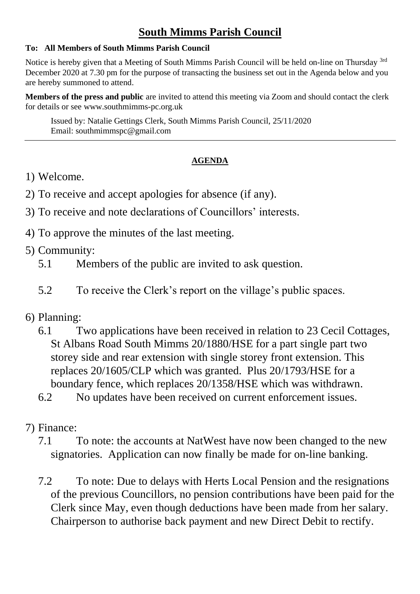## **South Mimms Parish Council**

## **To: All Members of South Mimms Parish Council**

Notice is hereby given that a Meeting of South Mimms Parish Council will be held on-line on Thursday <sup>3rd</sup> December 2020 at 7.30 pm for the purpose of transacting the business set out in the Agenda below and you are hereby summoned to attend.

**Members of the press and public** are invited to attend this meeting via Zoom and should contact the clerk for details or see [www.southmimms-pc.org.uk](http://www.southmimms-pc.org.uk/)

Issued by: Natalie Gettings Clerk, South Mimms Parish Council, 25/11/2020 Email: southmimmspc@gmail.com

## **AGENDA**

- 1) Welcome.
- 2) To receive and accept apologies for absence (if any).
- 3) To receive and note declarations of Councillors' interests.
- 4) To approve the minutes of the last meeting.
- 5) Community:
	- 5.1 Members of the public are invited to ask question.
	- 5.2 To receive the Clerk's report on the village's public spaces.

## 6) Planning:

6.1 Two applications have been received in relation to 23 Cecil Cottages, St Albans Road South Mimms 20/1880/HSE for a part single part two storey side and rear extension with single storey front extension. This replaces 20/1605/CLP which was granted. Plus 20/1793/HSE for a boundary fence, which replaces 20/1358/HSE which was withdrawn.

6.2 No updates have been received on current enforcement issues.

- 7) Finance:
	- 7.1 To note: the accounts at NatWest have now been changed to the new signatories. Application can now finally be made for on-line banking.
	- 7.2 To note: Due to delays with Herts Local Pension and the resignations of the previous Councillors, no pension contributions have been paid for the Clerk since May, even though deductions have been made from her salary. Chairperson to authorise back payment and new Direct Debit to rectify.